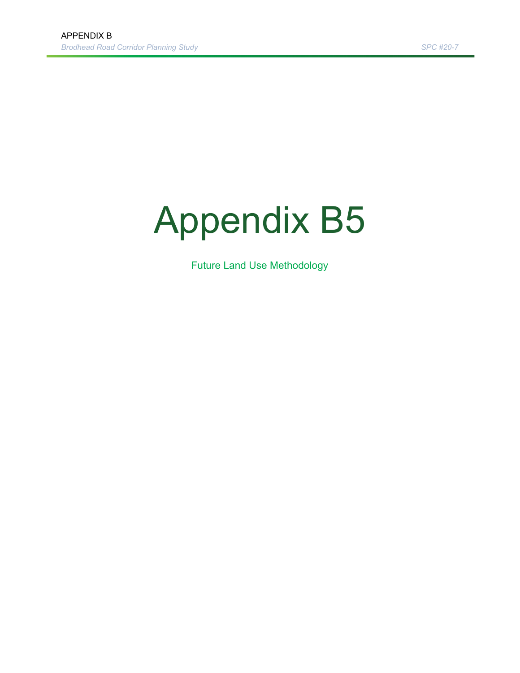## Appendix B5

Future Land Use Methodology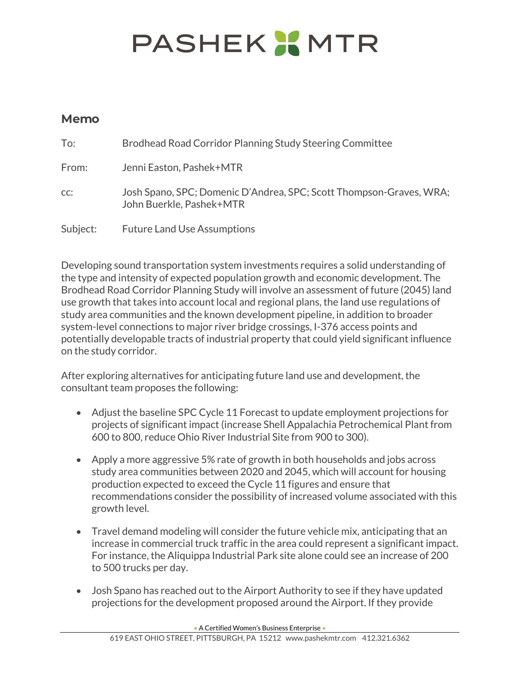## **PASHEK X MTR**

## **Memo**

| To:      | Brodhead Road Corridor Planning Study Steering Committee                                        |
|----------|-------------------------------------------------------------------------------------------------|
| From:    | Jenni Easton, Pashek+MTR                                                                        |
| CC:      | Josh Spano, SPC; Domenic D'Andrea, SPC; Scott Thompson-Graves, WRA;<br>John Buerkle, Pashek+MTR |
| Subject: | <b>Future Land Use Assumptions</b>                                                              |

Developing sound transportation system investments requires a solid understanding of the type and intensity of expected population growth and economic development. The Brodhead Road Corridor Planning Study will involve an assessment of future (2045) land use growth that takes into account local and regional plans, the land use regulations of study area communities and the known development pipeline, in addition to broader system-level connections to major river bridge crossings, I-376 access points and potentially developable tracts of industrial property that could yield significant influence on the study corridor.

After exploring alternatives for anticipating future land use and development, the consultant team proposes the following:

- Adjust the baseline SPC Cycle 11 Forecast to update employment projections for projects of significant impact (increase Shell Appalachia Petrochemical Plant from 600 to 800, reduce Ohio River Industrial Site from 900 to 300).
- Apply a more aggressive 5% rate of growth in both households and jobs across study area communities between 2020 and 2045, which will account for housing production expected to exceed the Cycle 11 figures and ensure that recommendations consider the possibility of increased volume associated with this growth level.
- Travel demand modeling will consider the future vehicle mix, anticipating that an increase in commercial truck traffic in the area could represent a significant impact. For instance, the Aliquippa Industrial Park site alone could see an increase of 200 to 500 trucks per day.
- Josh Spano has reached out to the Airport Authority to see if they have updated projections for the development proposed around the Airport. If they provide